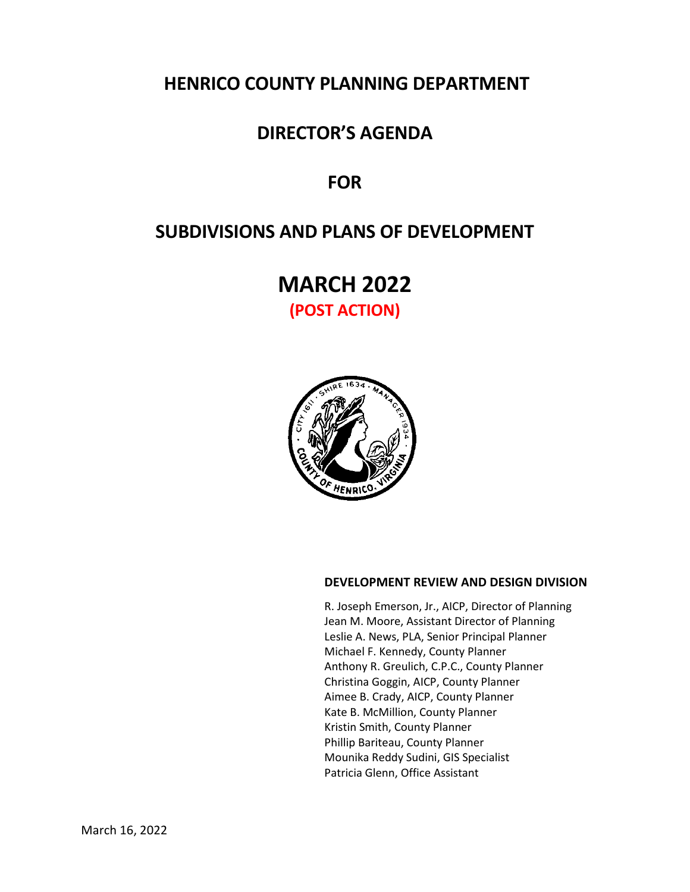# **HENRICO COUNTY PLANNING DEPARTMENT**

## **DIRECTOR'S AGENDA**

# **FOR**

# **SUBDIVISIONS AND PLANS OF DEVELOPMENT**

**MARCH 2022 (POST ACTION)**



## **DEVELOPMENT REVIEW AND DESIGN DIVISION**

R. Joseph Emerson, Jr., AICP, Director of Planning Jean M. Moore, Assistant Director of Planning Leslie A. News, PLA, Senior Principal Planner Michael F. Kennedy, County Planner Anthony R. Greulich, C.P.C., County Planner Christina Goggin, AICP, County Planner Aimee B. Crady, AICP, County Planner Kate B. McMillion, County Planner Kristin Smith, County Planner Phillip Bariteau, County Planner Mounika Reddy Sudini, GIS Specialist Patricia Glenn, Office Assistant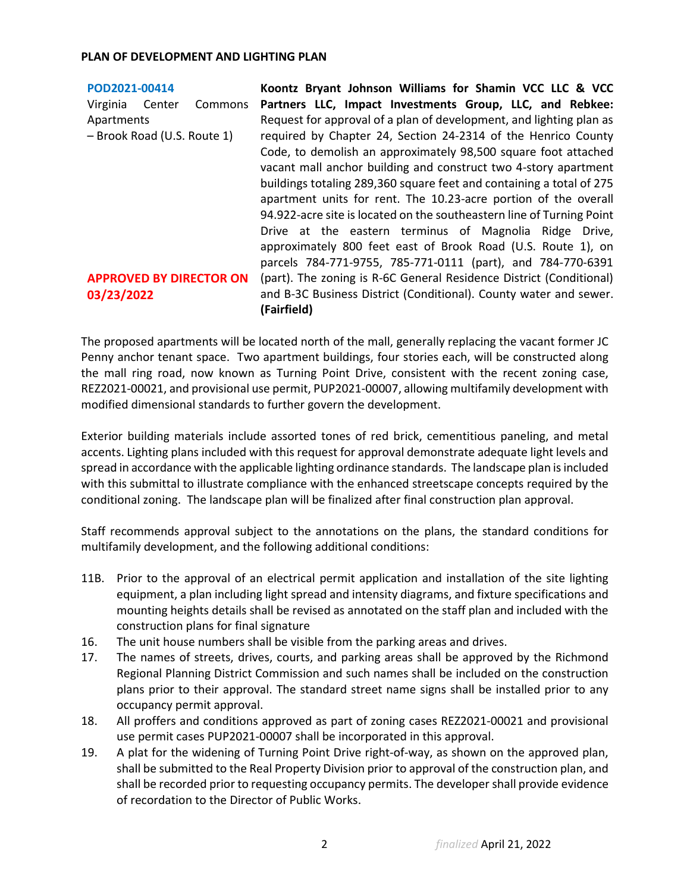| POD2021-00414                  | Koontz Bryant Johnson Williams for Shamin VCC LLC & VCC               |
|--------------------------------|-----------------------------------------------------------------------|
| Virginia<br>Commons<br>Center  | Partners LLC, Impact Investments Group, LLC, and Rebkee:              |
| Apartments                     | Request for approval of a plan of development, and lighting plan as   |
| - Brook Road (U.S. Route 1)    | required by Chapter 24, Section 24-2314 of the Henrico County         |
|                                | Code, to demolish an approximately 98,500 square foot attached        |
|                                | vacant mall anchor building and construct two 4-story apartment       |
|                                | buildings totaling 289,360 square feet and containing a total of 275  |
|                                | apartment units for rent. The 10.23-acre portion of the overall       |
|                                | 94.922-acre site is located on the southeastern line of Turning Point |
|                                | Drive at the eastern terminus of Magnolia Ridge Drive,                |
|                                | approximately 800 feet east of Brook Road (U.S. Route 1), on          |
|                                | parcels 784-771-9755, 785-771-0111 (part), and 784-770-6391           |
| <b>APPROVED BY DIRECTOR ON</b> | (part). The zoning is R-6C General Residence District (Conditional)   |
| 03/23/2022                     | and B-3C Business District (Conditional). County water and sewer.     |
|                                | (Fairfield)                                                           |

The proposed apartments will be located north of the mall, generally replacing the vacant former JC Penny anchor tenant space. Two apartment buildings, four stories each, will be constructed along the mall ring road, now known as Turning Point Drive, consistent with the recent zoning case, REZ2021-00021, and provisional use permit, PUP2021-00007, allowing multifamily development with modified dimensional standards to further govern the development.

Exterior building materials include assorted tones of red brick, cementitious paneling, and metal accents. Lighting plans included with this request for approval demonstrate adequate light levels and spread in accordance with the applicable lighting ordinance standards. The landscape plan is included with this submittal to illustrate compliance with the enhanced streetscape concepts required by the conditional zoning. The landscape plan will be finalized after final construction plan approval.

Staff recommends approval subject to the annotations on the plans, the standard conditions for multifamily development, and the following additional conditions:

- 11B. Prior to the approval of an electrical permit application and installation of the site lighting equipment, a plan including light spread and intensity diagrams, and fixture specifications and mounting heights details shall be revised as annotated on the staff plan and included with the construction plans for final signature
- 16. The unit house numbers shall be visible from the parking areas and drives.
- 17. The names of streets, drives, courts, and parking areas shall be approved by the Richmond Regional Planning District Commission and such names shall be included on the construction plans prior to their approval. The standard street name signs shall be installed prior to any occupancy permit approval.
- 18. All proffers and conditions approved as part of zoning cases REZ2021-00021 and provisional use permit cases PUP2021-00007 shall be incorporated in this approval.
- 19. A plat for the widening of Turning Point Drive right-of-way, as shown on the approved plan, shall be submitted to the Real Property Division prior to approval of the construction plan, and shall be recorded prior to requesting occupancy permits. The developer shall provide evidence of recordation to the Director of Public Works.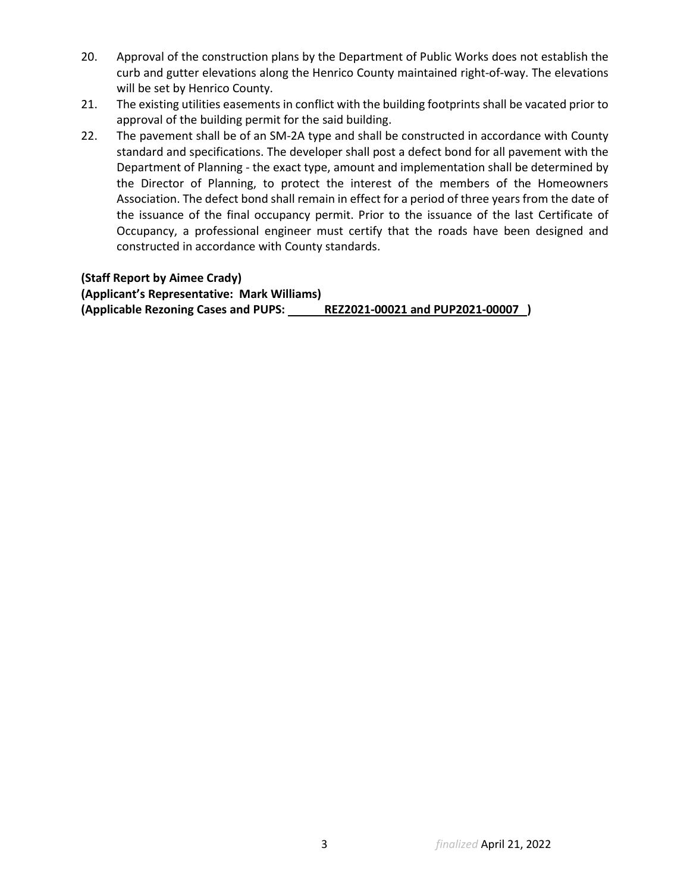- 20. Approval of the construction plans by the Department of Public Works does not establish the curb and gutter elevations along the Henrico County maintained right-of-way. The elevations will be set by Henrico County.
- 21. The existing utilities easements in conflict with the building footprints shall be vacated prior to approval of the building permit for the said building.
- 22. The pavement shall be of an SM-2A type and shall be constructed in accordance with County standard and specifications. The developer shall post a defect bond for all pavement with the Department of Planning - the exact type, amount and implementation shall be determined by the Director of Planning, to protect the interest of the members of the Homeowners Association. The defect bond shall remain in effect for a period of three years from the date of the issuance of the final occupancy permit. Prior to the issuance of the last Certificate of Occupancy, a professional engineer must certify that the roads have been designed and constructed in accordance with County standards.

## **(Staff Report by Aimee Crady)**

**(Applicant's Representative: Mark Williams) (Applicable Rezoning Cases and PUPS: REZ2021-00021 and PUP2021-00007 )**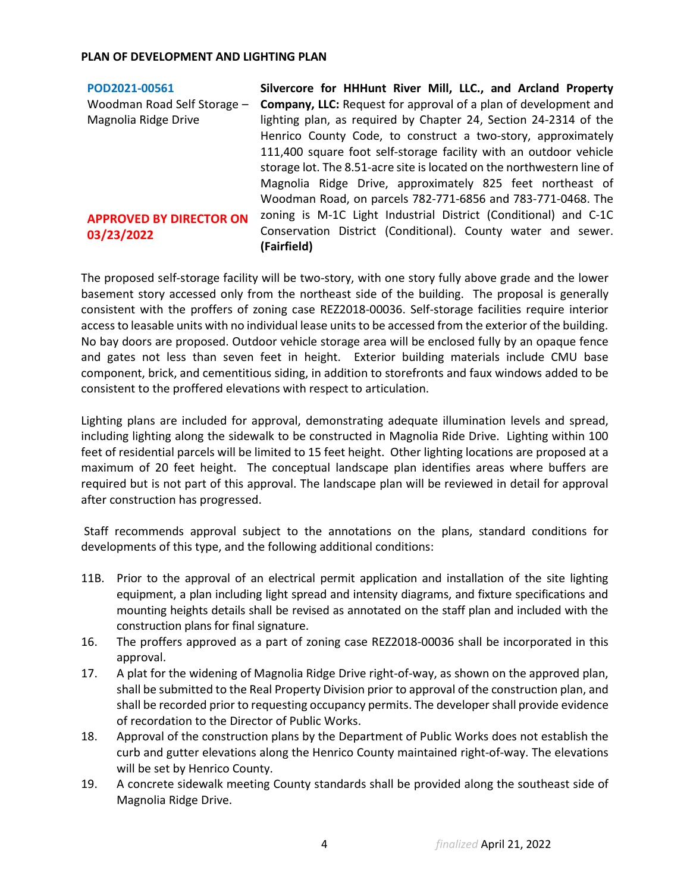| POD2021-00561                  | Silvercore for HHHunt River Mill, LLC., and Arcland Property                |
|--------------------------------|-----------------------------------------------------------------------------|
| Woodman Road Self Storage -    | Company, LLC: Request for approval of a plan of development and             |
| Magnolia Ridge Drive           | lighting plan, as required by Chapter 24, Section 24-2314 of the            |
|                                | Henrico County Code, to construct a two-story, approximately                |
|                                | 111,400 square foot self-storage facility with an outdoor vehicle           |
|                                | storage lot. The 8.51-acre site is located on the northwestern line of      |
|                                | Magnolia Ridge Drive, approximately 825 feet northeast of                   |
|                                | Woodman Road, on parcels 782-771-6856 and 783-771-0468. The                 |
| <b>APPROVED BY DIRECTOR ON</b> | zoning is M-1C Light Industrial District (Conditional) and C-1C             |
| 03/23/2022                     | Conservation District (Conditional). County water and sewer.<br>(Fairfield) |

The proposed self-storage facility will be two-story, with one story fully above grade and the lower basement story accessed only from the northeast side of the building. The proposal is generally consistent with the proffers of zoning case REZ2018-00036. Self-storage facilities require interior access to leasable units with no individual lease units to be accessed from the exterior of the building. No bay doors are proposed. Outdoor vehicle storage area will be enclosed fully by an opaque fence and gates not less than seven feet in height. Exterior building materials include CMU base component, brick, and cementitious siding, in addition to storefronts and faux windows added to be consistent to the proffered elevations with respect to articulation.

Lighting plans are included for approval, demonstrating adequate illumination levels and spread, including lighting along the sidewalk to be constructed in Magnolia Ride Drive. Lighting within 100 feet of residential parcels will be limited to 15 feet height. Other lighting locations are proposed at a maximum of 20 feet height. The conceptual landscape plan identifies areas where buffers are required but is not part of this approval. The landscape plan will be reviewed in detail for approval after construction has progressed.

Staff recommends approval subject to the annotations on the plans, standard conditions for developments of this type, and the following additional conditions:

- 11B. Prior to the approval of an electrical permit application and installation of the site lighting equipment, a plan including light spread and intensity diagrams, and fixture specifications and mounting heights details shall be revised as annotated on the staff plan and included with the construction plans for final signature.
- 16. The proffers approved as a part of zoning case REZ2018-00036 shall be incorporated in this approval.
- 17. A plat for the widening of Magnolia Ridge Drive right-of-way, as shown on the approved plan, shall be submitted to the Real Property Division prior to approval of the construction plan, and shall be recorded prior to requesting occupancy permits. The developer shall provide evidence of recordation to the Director of Public Works.
- 18. Approval of the construction plans by the Department of Public Works does not establish the curb and gutter elevations along the Henrico County maintained right-of-way. The elevations will be set by Henrico County.
- 19. A concrete sidewalk meeting County standards shall be provided along the southeast side of Magnolia Ridge Drive.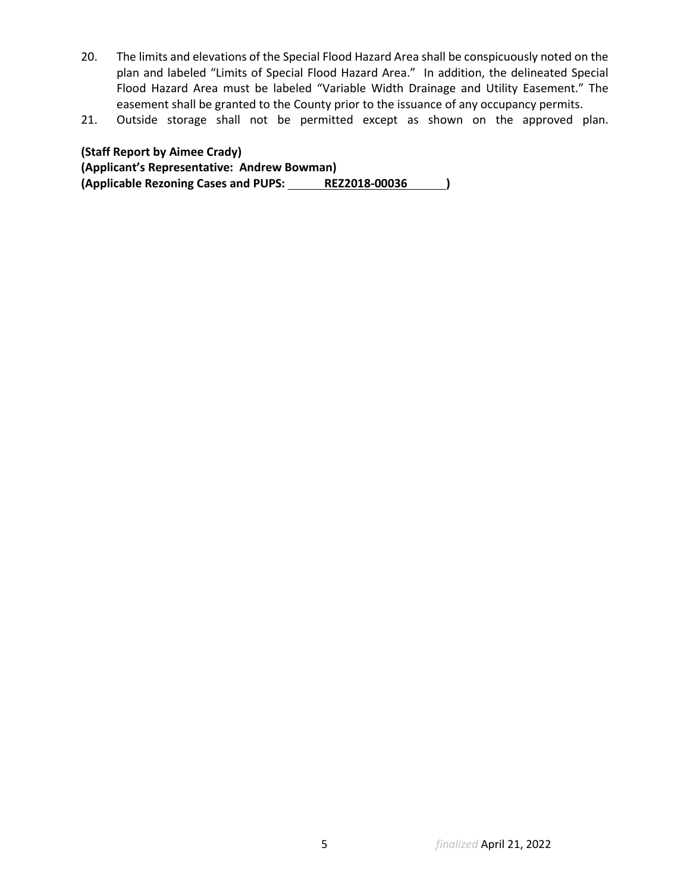- 20. The limits and elevations of the Special Flood Hazard Area shall be conspicuously noted on the plan and labeled "Limits of Special Flood Hazard Area." In addition, the delineated Special Flood Hazard Area must be labeled "Variable Width Drainage and Utility Easement." The easement shall be granted to the County prior to the issuance of any occupancy permits.
- 21. Outside storage shall not be permitted except as shown on the approved plan.

**(Staff Report by Aimee Crady) (Applicant's Representative: Andrew Bowman)** (Applicable Rezoning Cases and PUPS: REZ2018-00036 )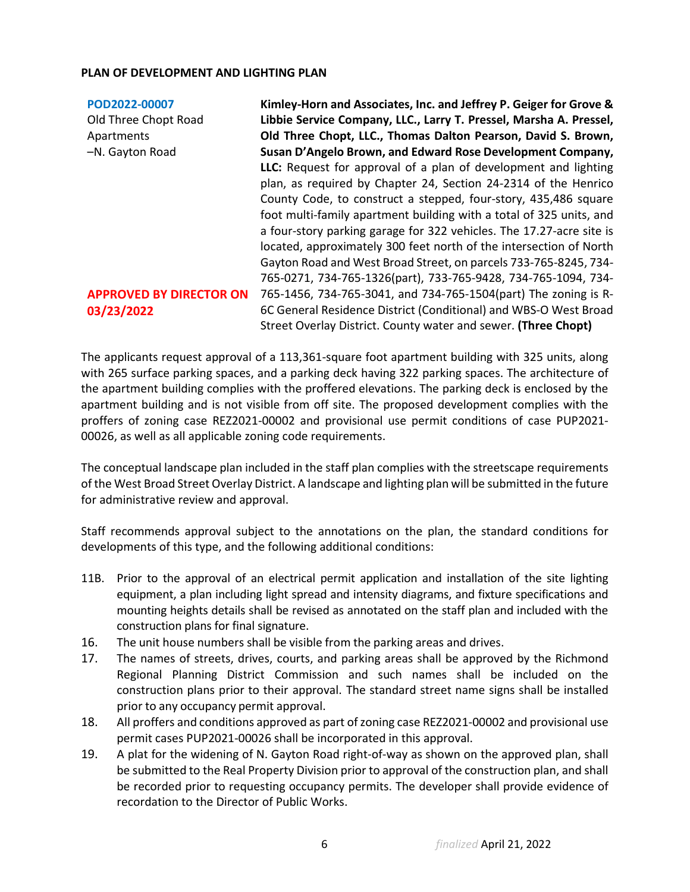| POD2022-00007                  | Kimley-Horn and Associates, Inc. and Jeffrey P. Geiger for Grove &   |
|--------------------------------|----------------------------------------------------------------------|
| Old Three Chopt Road           | Libbie Service Company, LLC., Larry T. Pressel, Marsha A. Pressel,   |
| Apartments                     | Old Three Chopt, LLC., Thomas Dalton Pearson, David S. Brown,        |
| -N. Gayton Road                | Susan D'Angelo Brown, and Edward Rose Development Company,           |
|                                | LLC: Request for approval of a plan of development and lighting      |
|                                | plan, as required by Chapter 24, Section 24-2314 of the Henrico      |
|                                | County Code, to construct a stepped, four-story, 435,486 square      |
|                                | foot multi-family apartment building with a total of 325 units, and  |
|                                | a four-story parking garage for 322 vehicles. The 17.27-acre site is |
|                                | located, approximately 300 feet north of the intersection of North   |
|                                | Gayton Road and West Broad Street, on parcels 733-765-8245, 734-     |
|                                | 765-0271, 734-765-1326(part), 733-765-9428, 734-765-1094, 734-       |
| <b>APPROVED BY DIRECTOR ON</b> | 765-1456, 734-765-3041, and 734-765-1504(part) The zoning is R-      |
| 03/23/2022                     | 6C General Residence District (Conditional) and WBS-O West Broad     |
|                                | Street Overlay District. County water and sewer. (Three Chopt)       |

The applicants request approval of a 113,361-square foot apartment building with 325 units, along with 265 surface parking spaces, and a parking deck having 322 parking spaces. The architecture of the apartment building complies with the proffered elevations. The parking deck is enclosed by the apartment building and is not visible from off site. The proposed development complies with the proffers of zoning case REZ2021-00002 and provisional use permit conditions of case PUP2021- 00026, as well as all applicable zoning code requirements.

The conceptual landscape plan included in the staff plan complies with the streetscape requirements of the West Broad Street Overlay District. A landscape and lighting plan will be submitted in the future for administrative review and approval.

Staff recommends approval subject to the annotations on the plan, the standard conditions for developments of this type, and the following additional conditions:

- 11B. Prior to the approval of an electrical permit application and installation of the site lighting equipment, a plan including light spread and intensity diagrams, and fixture specifications and mounting heights details shall be revised as annotated on the staff plan and included with the construction plans for final signature.
- 16. The unit house numbers shall be visible from the parking areas and drives.
- 17. The names of streets, drives, courts, and parking areas shall be approved by the Richmond Regional Planning District Commission and such names shall be included on the construction plans prior to their approval. The standard street name signs shall be installed prior to any occupancy permit approval.
- 18. All proffers and conditions approved as part of zoning case REZ2021-00002 and provisional use permit cases PUP2021-00026 shall be incorporated in this approval.
- 19. A plat for the widening of N. Gayton Road right-of-way as shown on the approved plan, shall be submitted to the Real Property Division prior to approval of the construction plan, and shall be recorded prior to requesting occupancy permits. The developer shall provide evidence of recordation to the Director of Public Works.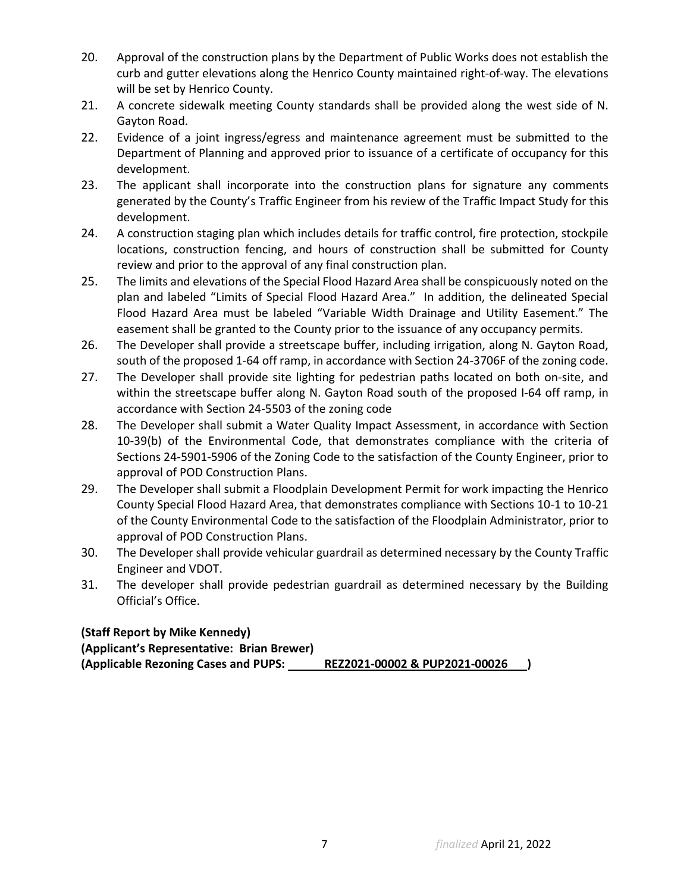- 20. Approval of the construction plans by the Department of Public Works does not establish the curb and gutter elevations along the Henrico County maintained right-of-way. The elevations will be set by Henrico County.
- 21. A concrete sidewalk meeting County standards shall be provided along the west side of N. Gayton Road.
- 22. Evidence of a joint ingress/egress and maintenance agreement must be submitted to the Department of Planning and approved prior to issuance of a certificate of occupancy for this development.
- 23. The applicant shall incorporate into the construction plans for signature any comments generated by the County's Traffic Engineer from his review of the Traffic Impact Study for this development.
- 24. A construction staging plan which includes details for traffic control, fire protection, stockpile locations, construction fencing, and hours of construction shall be submitted for County review and prior to the approval of any final construction plan.
- 25. The limits and elevations of the Special Flood Hazard Area shall be conspicuously noted on the plan and labeled "Limits of Special Flood Hazard Area." In addition, the delineated Special Flood Hazard Area must be labeled "Variable Width Drainage and Utility Easement." The easement shall be granted to the County prior to the issuance of any occupancy permits.
- 26. The Developer shall provide a streetscape buffer, including irrigation, along N. Gayton Road, south of the proposed 1-64 off ramp, in accordance with Section 24-3706F of the zoning code.
- 27. The Developer shall provide site lighting for pedestrian paths located on both on-site, and within the streetscape buffer along N. Gayton Road south of the proposed I-64 off ramp, in accordance with Section 24-5503 of the zoning code
- 28. The Developer shall submit a Water Quality Impact Assessment, in accordance with Section 10-39(b) of the Environmental Code, that demonstrates compliance with the criteria of Sections 24-5901-5906 of the Zoning Code to the satisfaction of the County Engineer, prior to approval of POD Construction Plans.
- 29. The Developer shall submit a Floodplain Development Permit for work impacting the Henrico County Special Flood Hazard Area, that demonstrates compliance with Sections 10-1 to 10-21 of the County Environmental Code to the satisfaction of the Floodplain Administrator, prior to approval of POD Construction Plans.
- 30. The Developer shall provide vehicular guardrail as determined necessary by the County Traffic Engineer and VDOT.
- 31. The developer shall provide pedestrian guardrail as determined necessary by the Building Official's Office.

**(Staff Report by Mike Kennedy) (Applicant's Representative: Brian Brewer) (Applicable Rezoning Cases and PUPS: REZ2021-00002 & PUP2021-00026 )**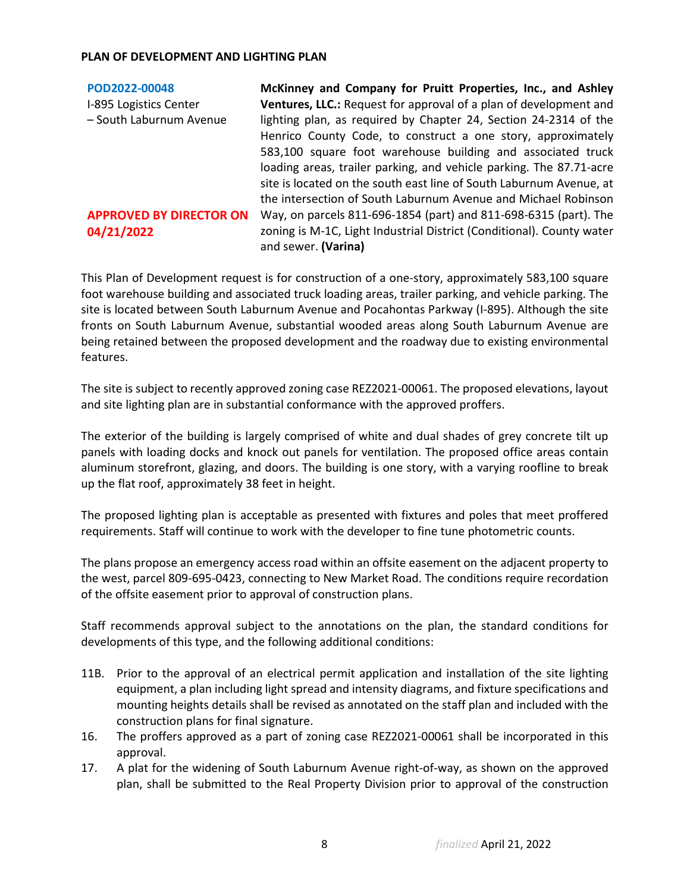| POD2022-00048                  | McKinney and Company for Pruitt Properties, Inc., and Ashley             |
|--------------------------------|--------------------------------------------------------------------------|
| I-895 Logistics Center         | <b>Ventures, LLC.:</b> Request for approval of a plan of development and |
| - South Laburnum Avenue        | lighting plan, as required by Chapter 24, Section 24-2314 of the         |
|                                | Henrico County Code, to construct a one story, approximately             |
|                                | 583,100 square foot warehouse building and associated truck              |
|                                | loading areas, trailer parking, and vehicle parking. The 87.71-acre      |
|                                | site is located on the south east line of South Laburnum Avenue, at      |
|                                | the intersection of South Laburnum Avenue and Michael Robinson           |
| <b>APPROVED BY DIRECTOR ON</b> | Way, on parcels 811-696-1854 (part) and 811-698-6315 (part). The         |
| 04/21/2022                     | zoning is M-1C, Light Industrial District (Conditional). County water    |
|                                | and sewer. (Varina)                                                      |

This Plan of Development request is for construction of a one-story, approximately 583,100 square foot warehouse building and associated truck loading areas, trailer parking, and vehicle parking. The site is located between South Laburnum Avenue and Pocahontas Parkway (I-895). Although the site fronts on South Laburnum Avenue, substantial wooded areas along South Laburnum Avenue are being retained between the proposed development and the roadway due to existing environmental features.

The site is subject to recently approved zoning case REZ2021-00061. The proposed elevations, layout and site lighting plan are in substantial conformance with the approved proffers.

The exterior of the building is largely comprised of white and dual shades of grey concrete tilt up panels with loading docks and knock out panels for ventilation. The proposed office areas contain aluminum storefront, glazing, and doors. The building is one story, with a varying roofline to break up the flat roof, approximately 38 feet in height.

The proposed lighting plan is acceptable as presented with fixtures and poles that meet proffered requirements. Staff will continue to work with the developer to fine tune photometric counts.

The plans propose an emergency access road within an offsite easement on the adjacent property to the west, parcel 809-695-0423, connecting to New Market Road. The conditions require recordation of the offsite easement prior to approval of construction plans.

Staff recommends approval subject to the annotations on the plan, the standard conditions for developments of this type, and the following additional conditions:

- 11B. Prior to the approval of an electrical permit application and installation of the site lighting equipment, a plan including light spread and intensity diagrams, and fixture specifications and mounting heights details shall be revised as annotated on the staff plan and included with the construction plans for final signature.
- 16. The proffers approved as a part of zoning case REZ2021-00061 shall be incorporated in this approval.
- 17. A plat for the widening of South Laburnum Avenue right-of-way, as shown on the approved plan, shall be submitted to the Real Property Division prior to approval of the construction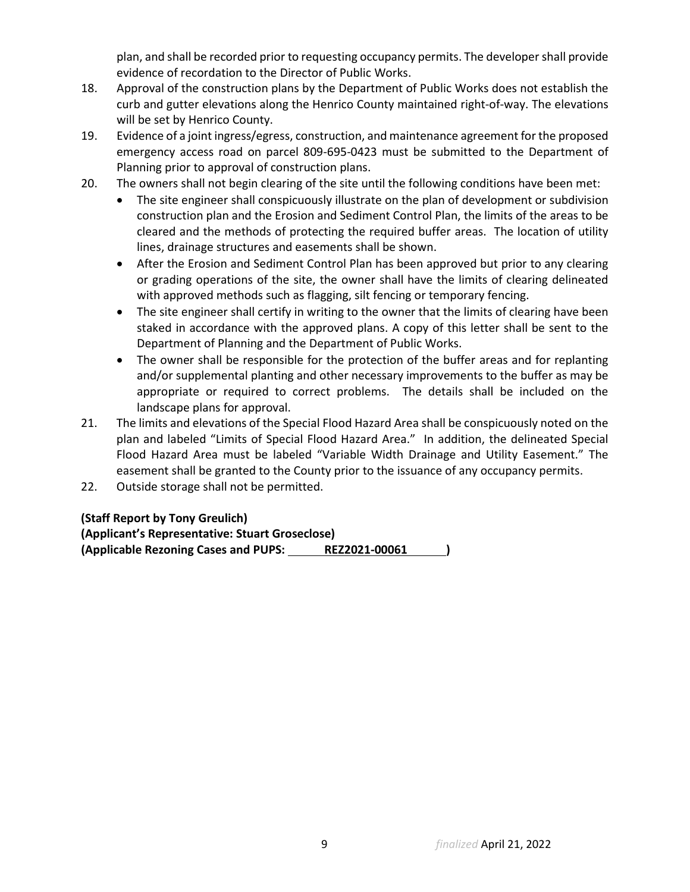plan, and shall be recorded prior to requesting occupancy permits. The developer shall provide evidence of recordation to the Director of Public Works.

- 18. Approval of the construction plans by the Department of Public Works does not establish the curb and gutter elevations along the Henrico County maintained right-of-way. The elevations will be set by Henrico County.
- 19. Evidence of a joint ingress/egress, construction, and maintenance agreement for the proposed emergency access road on parcel 809-695-0423 must be submitted to the Department of Planning prior to approval of construction plans.
- 20. The owners shall not begin clearing of the site until the following conditions have been met:
	- The site engineer shall conspicuously illustrate on the plan of development or subdivision construction plan and the Erosion and Sediment Control Plan, the limits of the areas to be cleared and the methods of protecting the required buffer areas. The location of utility lines, drainage structures and easements shall be shown.
	- After the Erosion and Sediment Control Plan has been approved but prior to any clearing or grading operations of the site, the owner shall have the limits of clearing delineated with approved methods such as flagging, silt fencing or temporary fencing.
	- The site engineer shall certify in writing to the owner that the limits of clearing have been staked in accordance with the approved plans. A copy of this letter shall be sent to the Department of Planning and the Department of Public Works.
	- The owner shall be responsible for the protection of the buffer areas and for replanting and/or supplemental planting and other necessary improvements to the buffer as may be appropriate or required to correct problems. The details shall be included on the landscape plans for approval.
- 21. The limits and elevations of the Special Flood Hazard Area shall be conspicuously noted on the plan and labeled "Limits of Special Flood Hazard Area." In addition, the delineated Special Flood Hazard Area must be labeled "Variable Width Drainage and Utility Easement." The easement shall be granted to the County prior to the issuance of any occupancy permits.
- 22. Outside storage shall not be permitted.

**(Staff Report by Tony Greulich)** 

**(Applicant's Representative: Stuart Groseclose) (Applicable Rezoning Cases and PUPS: REZ2021-00061 )**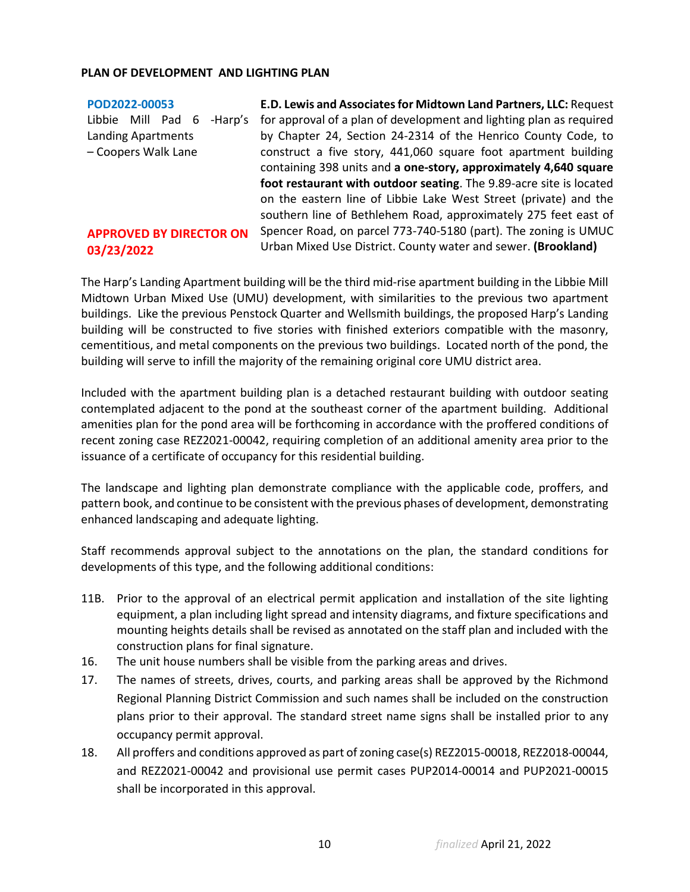| POD2022-00053                  | E.D. Lewis and Associates for Midtown Land Partners, LLC: Request   |
|--------------------------------|---------------------------------------------------------------------|
| Libbie Mill Pad 6<br>-Harp's   | for approval of a plan of development and lighting plan as required |
| Landing Apartments             | by Chapter 24, Section 24-2314 of the Henrico County Code, to       |
| - Coopers Walk Lane            | construct a five story, 441,060 square foot apartment building      |
|                                | containing 398 units and a one-story, approximately 4,640 square    |
|                                | foot restaurant with outdoor seating. The 9.89-acre site is located |
|                                | on the eastern line of Libbie Lake West Street (private) and the    |
|                                | southern line of Bethlehem Road, approximately 275 feet east of     |
| <b>APPROVED BY DIRECTOR ON</b> | Spencer Road, on parcel 773-740-5180 (part). The zoning is UMUC     |
| 03/23/2022                     | Urban Mixed Use District. County water and sewer. (Brookland)       |
|                                |                                                                     |

The Harp's Landing Apartment building will be the third mid-rise apartment building in the Libbie Mill Midtown Urban Mixed Use (UMU) development, with similarities to the previous two apartment buildings. Like the previous Penstock Quarter and Wellsmith buildings, the proposed Harp's Landing building will be constructed to five stories with finished exteriors compatible with the masonry, cementitious, and metal components on the previous two buildings. Located north of the pond, the building will serve to infill the majority of the remaining original core UMU district area.

Included with the apartment building plan is a detached restaurant building with outdoor seating contemplated adjacent to the pond at the southeast corner of the apartment building. Additional amenities plan for the pond area will be forthcoming in accordance with the proffered conditions of recent zoning case REZ2021-00042, requiring completion of an additional amenity area prior to the issuance of a certificate of occupancy for this residential building.

The landscape and lighting plan demonstrate compliance with the applicable code, proffers, and pattern book, and continue to be consistent with the previous phases of development, demonstrating enhanced landscaping and adequate lighting.

Staff recommends approval subject to the annotations on the plan, the standard conditions for developments of this type, and the following additional conditions:

- 11B. Prior to the approval of an electrical permit application and installation of the site lighting equipment, a plan including light spread and intensity diagrams, and fixture specifications and mounting heights details shall be revised as annotated on the staff plan and included with the construction plans for final signature.
- 16. The unit house numbers shall be visible from the parking areas and drives.
- 17. The names of streets, drives, courts, and parking areas shall be approved by the Richmond Regional Planning District Commission and such names shall be included on the construction plans prior to their approval. The standard street name signs shall be installed prior to any occupancy permit approval.
- 18. All proffers and conditions approved as part of zoning case(s) REZ2015-00018, REZ2018-00044, and REZ2021-00042 and provisional use permit cases PUP2014-00014 and PUP2021-00015 shall be incorporated in this approval.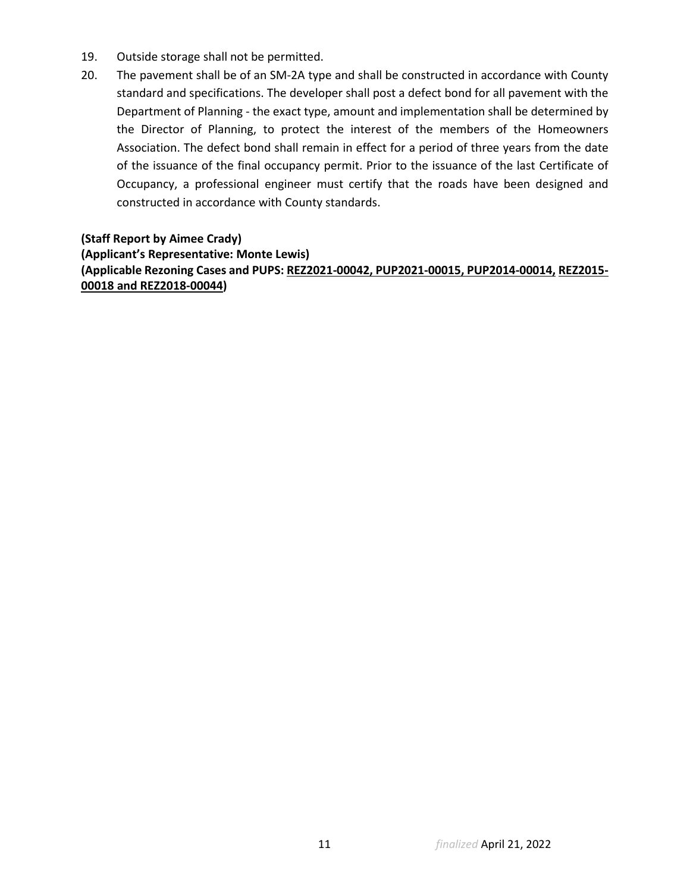- 19. Outside storage shall not be permitted.
- 20. The pavement shall be of an SM-2A type and shall be constructed in accordance with County standard and specifications. The developer shall post a defect bond for all pavement with the Department of Planning - the exact type, amount and implementation shall be determined by the Director of Planning, to protect the interest of the members of the Homeowners Association. The defect bond shall remain in effect for a period of three years from the date of the issuance of the final occupancy permit. Prior to the issuance of the last Certificate of Occupancy, a professional engineer must certify that the roads have been designed and constructed in accordance with County standards.

**(Staff Report by Aimee Crady) (Applicant's Representative: Monte Lewis) (Applicable Rezoning Cases and PUPS: REZ2021-00042, PUP2021-00015, PUP2014-00014, REZ2015- 00018 and REZ2018-00044)**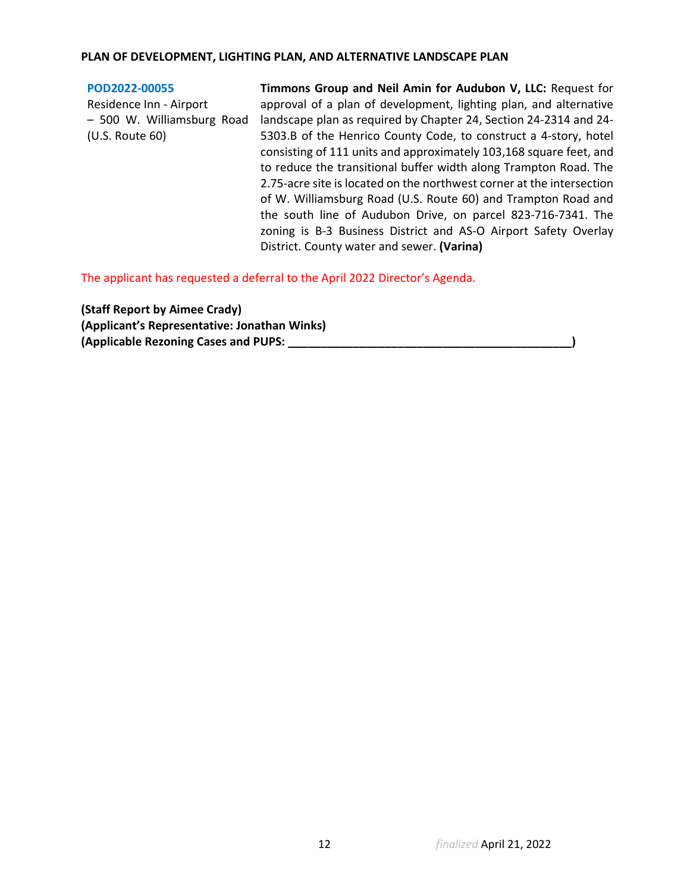## **PLAN OF DEVELOPMENT, LIGHTING PLAN, AND ALTERNATIVE LANDSCAPE PLAN**

#### **[POD2022-00055](https://henrico.us/pdfs/planning/2022/mar22/pod/pod2022-00055.pdf)** Residence Inn - Airport – 500 W. Williamsburg Road (U.S. Route 60) **Timmons Group and Neil Amin for Audubon V, LLC:** Request for approval of a plan of development, lighting plan, and alternative landscape plan as required by Chapter 24, Section 24-2314 and 24- 5303.B of the Henrico County Code, to construct a 4-story, hotel consisting of 111 units and approximately 103,168 square feet, and to reduce the transitional buffer width along Trampton Road. The 2.75-acre site is located on the northwest corner at the intersection of W. Williamsburg Road (U.S. Route 60) and Trampton Road and the south line of Audubon Drive, on parcel 823-716-7341. The zoning is B-3 Business District and AS-O Airport Safety Overlay District. County water and sewer. **(Varina)**

The applicant has requested a deferral to the April 2022 Director's Agenda.

**(Staff Report by Aimee Crady) (Applicant's Representative: Jonathan Winks) (Applicable Rezoning Cases and PUPS: \_\_\_\_\_\_\_\_\_\_\_\_\_\_\_\_\_\_\_\_\_\_\_\_\_\_\_\_\_\_\_\_\_\_\_\_\_\_\_\_\_\_\_\_)**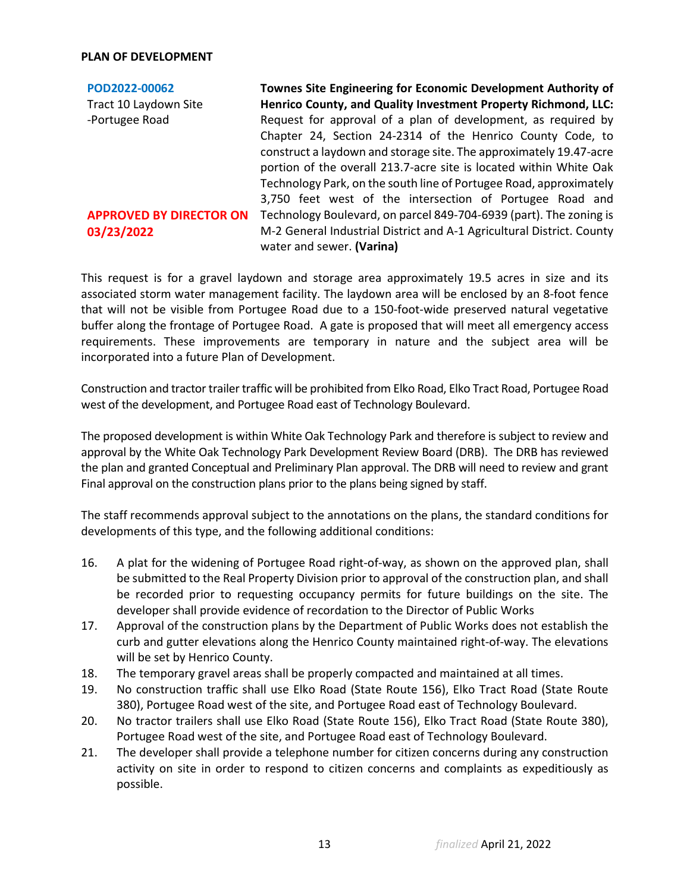## **PLAN OF DEVELOPMENT**

**[POD2022-00062](https://henrico.us/pdfs/planning/2022/mar22/pod/pod2022-00062.pdf)** Tract 10 Laydown Site -Portugee Road **APPROVED BY DIRECTOR ON 03/23/2022 Townes Site Engineering for Economic Development Authority of Henrico County, and Quality Investment Property Richmond, LLC:**  Request for approval of a plan of development, as required by Chapter 24, Section 24-2314 of the Henrico County Code, to construct a laydown and storage site. The approximately 19.47-acre portion of the overall 213.7-acre site is located within White Oak Technology Park, on the south line of Portugee Road, approximately 3,750 feet west of the intersection of Portugee Road and Technology Boulevard, on parcel 849-704-6939 (part). The zoning is M-2 General Industrial District and A-1 Agricultural District. County water and sewer. **(Varina)**

This request is for a gravel laydown and storage area approximately 19.5 acres in size and its associated storm water management facility. The laydown area will be enclosed by an 8-foot fence that will not be visible from Portugee Road due to a 150-foot-wide preserved natural vegetative buffer along the frontage of Portugee Road. A gate is proposed that will meet all emergency access requirements. These improvements are temporary in nature and the subject area will be incorporated into a future Plan of Development.

Construction and tractor trailer traffic will be prohibited from Elko Road, Elko Tract Road, Portugee Road west of the development, and Portugee Road east of Technology Boulevard.

The proposed development is within White Oak Technology Park and therefore is subject to review and approval by the White Oak Technology Park Development Review Board (DRB). The DRB has reviewed the plan and granted Conceptual and Preliminary Plan approval. The DRB will need to review and grant Final approval on the construction plans prior to the plans being signed by staff.

The staff recommends approval subject to the annotations on the plans, the standard conditions for developments of this type, and the following additional conditions:

- 16. A plat for the widening of Portugee Road right-of-way, as shown on the approved plan, shall be submitted to the Real Property Division prior to approval of the construction plan, and shall be recorded prior to requesting occupancy permits for future buildings on the site. The developer shall provide evidence of recordation to the Director of Public Works
- 17. Approval of the construction plans by the Department of Public Works does not establish the curb and gutter elevations along the Henrico County maintained right-of-way. The elevations will be set by Henrico County.
- 18. The temporary gravel areas shall be properly compacted and maintained at all times.
- 19. No construction traffic shall use Elko Road (State Route 156), Elko Tract Road (State Route 380), Portugee Road west of the site, and Portugee Road east of Technology Boulevard.
- 20. No tractor trailers shall use Elko Road (State Route 156), Elko Tract Road (State Route 380), Portugee Road west of the site, and Portugee Road east of Technology Boulevard.
- 21. The developer shall provide a telephone number for citizen concerns during any construction activity on site in order to respond to citizen concerns and complaints as expeditiously as possible.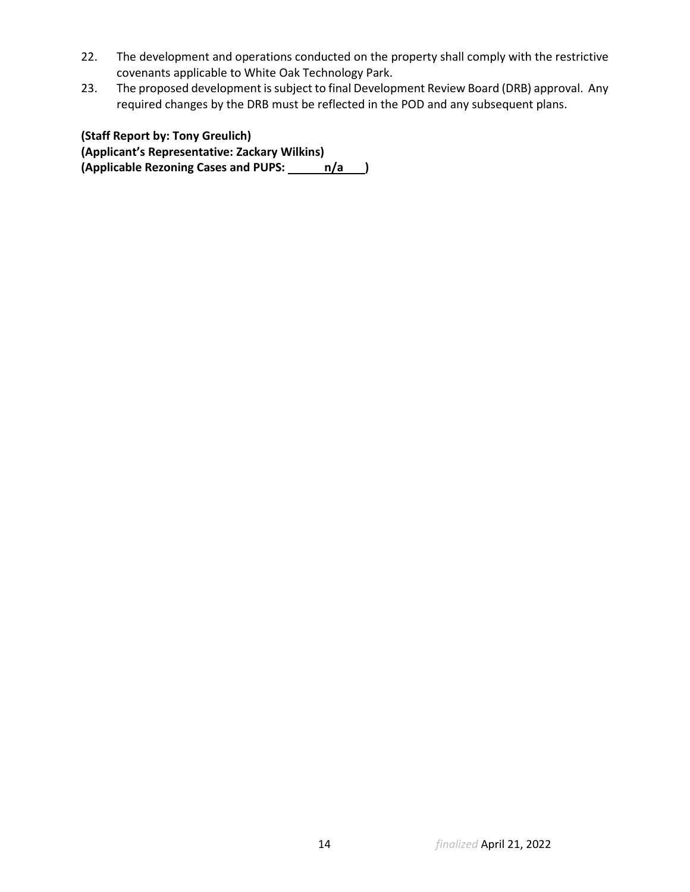- 22. The development and operations conducted on the property shall comply with the restrictive covenants applicable to White Oak Technology Park.
- 23. The proposed development is subject to final Development Review Board (DRB) approval. Any required changes by the DRB must be reflected in the POD and any subsequent plans.

**(Staff Report by: Tony Greulich) (Applicant's Representative: Zackary Wilkins)** (Applicable Rezoning Cases and PUPS: n/a )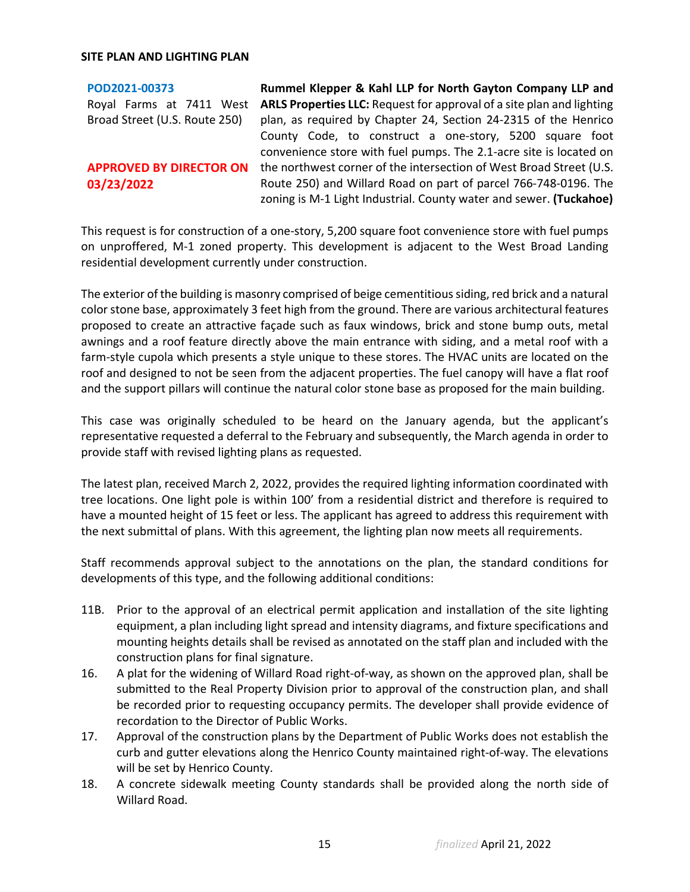**[POD2021-00373](https://henrico.us/pdfs/planning/2022/mar22/pod/pod2021-00373.pdf)** Royal Farms at 7411 West **ARLS Properties LLC:** Request for approval of a site plan and lighting Broad Street (U.S. Route 250) **APPROVED BY DIRECTOR ON 03/23/2022 Rummel Klepper & Kahl LLP for North Gayton Company LLP and**  plan, as required by Chapter 24, Section 24-2315 of the Henrico County Code, to construct a one-story, 5200 square foot convenience store with fuel pumps. The 2.1-acre site is located on the northwest corner of the intersection of West Broad Street (U.S. Route 250) and Willard Road on part of parcel 766-748-0196. The zoning is M-1 Light Industrial. County water and sewer. **(Tuckahoe)**

This request is for construction of a one-story, 5,200 square foot convenience store with fuel pumps on unproffered, M-1 zoned property. This development is adjacent to the West Broad Landing residential development currently under construction.

The exterior of the building is masonry comprised of beige cementitious siding, red brick and a natural color stone base, approximately 3 feet high from the ground. There are various architectural features proposed to create an attractive façade such as faux windows, brick and stone bump outs, metal awnings and a roof feature directly above the main entrance with siding, and a metal roof with a farm-style cupola which presents a style unique to these stores. The HVAC units are located on the roof and designed to not be seen from the adjacent properties. The fuel canopy will have a flat roof and the support pillars will continue the natural color stone base as proposed for the main building.

This case was originally scheduled to be heard on the January agenda, but the applicant's representative requested a deferral to the February and subsequently, the March agenda in order to provide staff with revised lighting plans as requested.

The latest plan, received March 2, 2022, provides the required lighting information coordinated with tree locations. One light pole is within 100' from a residential district and therefore is required to have a mounted height of 15 feet or less. The applicant has agreed to address this requirement with the next submittal of plans. With this agreement, the lighting plan now meets all requirements.

Staff recommends approval subject to the annotations on the plan, the standard conditions for developments of this type, and the following additional conditions:

- 11B. Prior to the approval of an electrical permit application and installation of the site lighting equipment, a plan including light spread and intensity diagrams, and fixture specifications and mounting heights details shall be revised as annotated on the staff plan and included with the construction plans for final signature.
- 16. A plat for the widening of Willard Road right-of-way, as shown on the approved plan, shall be submitted to the Real Property Division prior to approval of the construction plan, and shall be recorded prior to requesting occupancy permits. The developer shall provide evidence of recordation to the Director of Public Works.
- 17. Approval of the construction plans by the Department of Public Works does not establish the curb and gutter elevations along the Henrico County maintained right-of-way. The elevations will be set by Henrico County.
- 18. A concrete sidewalk meeting County standards shall be provided along the north side of Willard Road.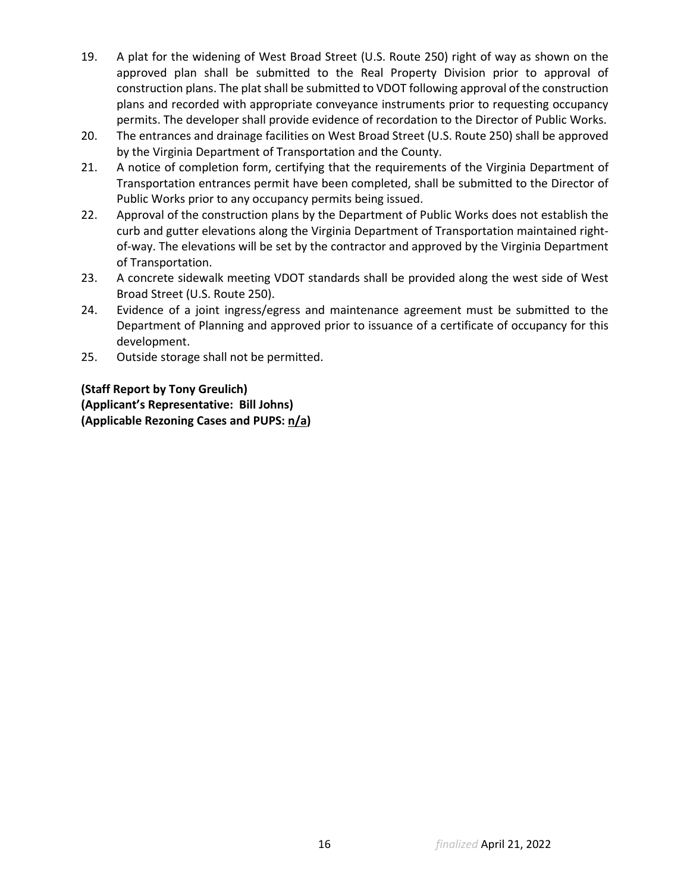- 19. A plat for the widening of West Broad Street (U.S. Route 250) right of way as shown on the approved plan shall be submitted to the Real Property Division prior to approval of construction plans. The plat shall be submitted to VDOT following approval of the construction plans and recorded with appropriate conveyance instruments prior to requesting occupancy permits. The developer shall provide evidence of recordation to the Director of Public Works.
- 20. The entrances and drainage facilities on West Broad Street (U.S. Route 250) shall be approved by the Virginia Department of Transportation and the County.
- 21. A notice of completion form, certifying that the requirements of the Virginia Department of Transportation entrances permit have been completed, shall be submitted to the Director of Public Works prior to any occupancy permits being issued.
- 22. Approval of the construction plans by the Department of Public Works does not establish the curb and gutter elevations along the Virginia Department of Transportation maintained rightof-way. The elevations will be set by the contractor and approved by the Virginia Department of Transportation.
- 23. A concrete sidewalk meeting VDOT standards shall be provided along the west side of West Broad Street (U.S. Route 250).
- 24. Evidence of a joint ingress/egress and maintenance agreement must be submitted to the Department of Planning and approved prior to issuance of a certificate of occupancy for this development.
- 25. Outside storage shall not be permitted.

**(Staff Report by Tony Greulich) (Applicant's Representative: Bill Johns) (Applicable Rezoning Cases and PUPS: n/a)**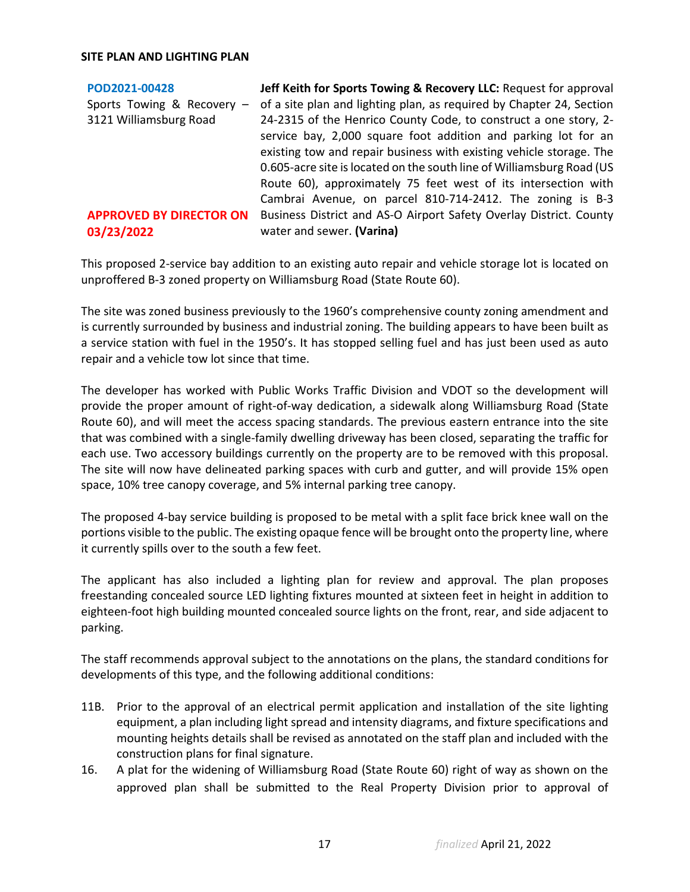| POD2021-00428                  | Jeff Keith for Sports Towing & Recovery LLC: Request for approval     |
|--------------------------------|-----------------------------------------------------------------------|
| Sports Towing & Recovery -     | of a site plan and lighting plan, as required by Chapter 24, Section  |
| 3121 Williamsburg Road         | 24-2315 of the Henrico County Code, to construct a one story, 2-      |
|                                | service bay, 2,000 square foot addition and parking lot for an        |
|                                | existing tow and repair business with existing vehicle storage. The   |
|                                | 0.605-acre site is located on the south line of Williamsburg Road (US |
|                                | Route 60), approximately 75 feet west of its intersection with        |
|                                | Cambrai Avenue, on parcel 810-714-2412. The zoning is B-3             |
| <b>APPROVED BY DIRECTOR ON</b> | Business District and AS-O Airport Safety Overlay District. County    |
| 03/23/2022                     | water and sewer. (Varina)                                             |

This proposed 2-service bay addition to an existing auto repair and vehicle storage lot is located on unproffered B-3 zoned property on Williamsburg Road (State Route 60).

The site was zoned business previously to the 1960's comprehensive county zoning amendment and is currently surrounded by business and industrial zoning. The building appears to have been built as a service station with fuel in the 1950's. It has stopped selling fuel and has just been used as auto repair and a vehicle tow lot since that time.

The developer has worked with Public Works Traffic Division and VDOT so the development will provide the proper amount of right-of-way dedication, a sidewalk along Williamsburg Road (State Route 60), and will meet the access spacing standards. The previous eastern entrance into the site that was combined with a single-family dwelling driveway has been closed, separating the traffic for each use. Two accessory buildings currently on the property are to be removed with this proposal. The site will now have delineated parking spaces with curb and gutter, and will provide 15% open space, 10% tree canopy coverage, and 5% internal parking tree canopy.

The proposed 4-bay service building is proposed to be metal with a split face brick knee wall on the portions visible to the public. The existing opaque fence will be brought onto the property line, where it currently spills over to the south a few feet.

The applicant has also included a lighting plan for review and approval. The plan proposes freestanding concealed source LED lighting fixtures mounted at sixteen feet in height in addition to eighteen-foot high building mounted concealed source lights on the front, rear, and side adjacent to parking.

The staff recommends approval subject to the annotations on the plans, the standard conditions for developments of this type, and the following additional conditions:

- 11B. Prior to the approval of an electrical permit application and installation of the site lighting equipment, a plan including light spread and intensity diagrams, and fixture specifications and mounting heights details shall be revised as annotated on the staff plan and included with the construction plans for final signature.
- 16. A plat for the widening of Williamsburg Road (State Route 60) right of way as shown on the approved plan shall be submitted to the Real Property Division prior to approval of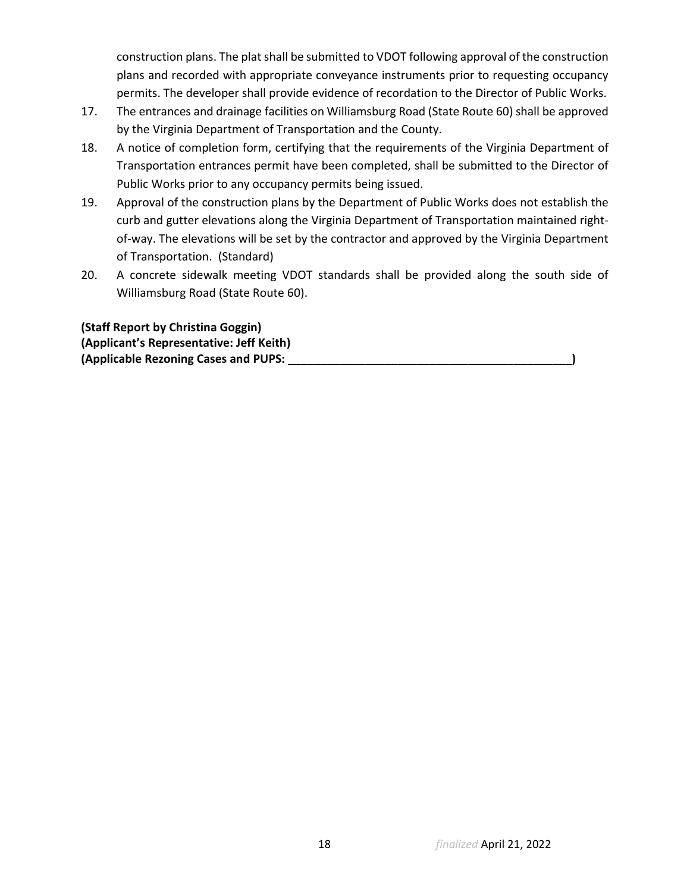construction plans. The plat shall be submitted to VDOT following approval of the construction plans and recorded with appropriate conveyance instruments prior to requesting occupancy permits. The developer shall provide evidence of recordation to the Director of Public Works.

- 17. The entrances and drainage facilities on Williamsburg Road (State Route 60) shall be approved by the Virginia Department of Transportation and the County.
- 18. A notice of completion form, certifying that the requirements of the Virginia Department of Transportation entrances permit have been completed, shall be submitted to the Director of Public Works prior to any occupancy permits being issued.
- 19. Approval of the construction plans by the Department of Public Works does not establish the curb and gutter elevations along the Virginia Department of Transportation maintained rightof-way. The elevations will be set by the contractor and approved by the Virginia Department of Transportation. (Standard)
- 20. A concrete sidewalk meeting VDOT standards shall be provided along the south side of Williamsburg Road (State Route 60).

**(Staff Report by Christina Goggin) (Applicant's Representative: Jeff Keith) (Applicable Rezoning Cases and PUPS: \_\_\_\_\_\_\_\_\_\_\_\_\_\_\_\_\_\_\_\_\_\_\_\_\_\_\_\_\_\_\_\_\_\_\_\_\_\_\_\_\_\_\_\_)**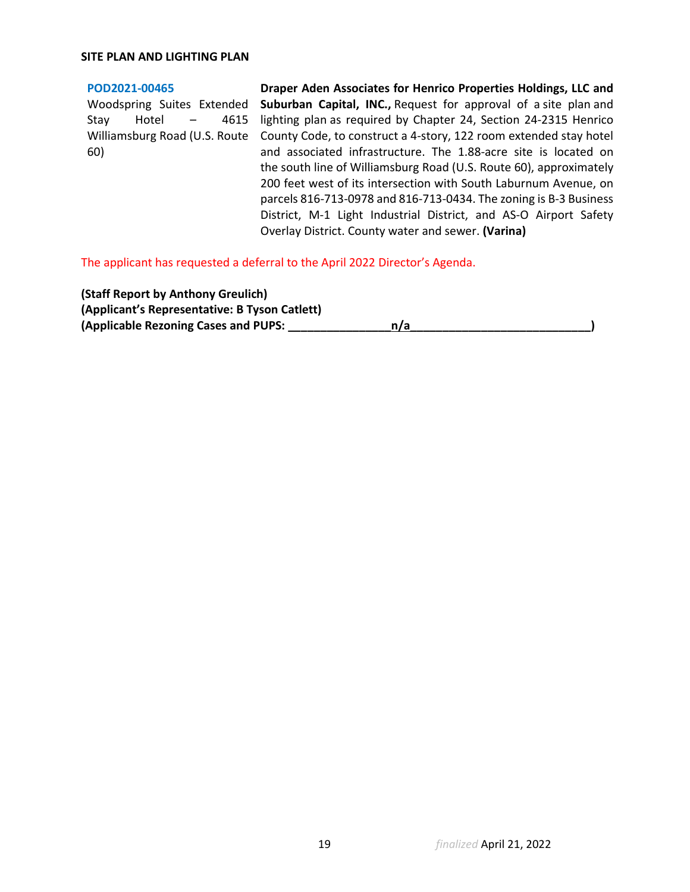### **[POD2021-00465](https://henrico.us/pdfs/planning/2022/mar22/pod/pod2021-00465.pdf)**

Woodspring Suites Extended Stay Hotel – 4615 60)

Williamsburg Road (U.S. Route County Code, to construct a 4-story, 122 room extended stay hotel **Draper Aden Associates for Henrico Properties Holdings, LLC and Suburban Capital, INC.,** Request for approval of a site plan and lighting plan as required by Chapter 24, Section 24-2315 Henrico and associated infrastructure. The 1.88-acre site is located on the south line of Williamsburg Road (U.S. Route 60), approximately 200 feet west of its intersection with South Laburnum Avenue, on parcels 816-713-0978 and 816-713-0434. The zoning is B-3 Business District, M-1 Light Industrial District, and AS-O Airport Safety Overlay District. County water and sewer. **(Varina)**

The applicant has requested a deferral to the April 2022 Director's Agenda.

**(Staff Report by Anthony Greulich) (Applicant's Representative: B Tyson Catlett) (Applicable Rezoning Cases and PUPS: \_\_\_\_\_\_\_\_\_\_\_\_\_\_\_\_n/a\_\_\_\_\_\_\_\_\_\_\_\_\_\_\_\_\_\_\_\_\_\_\_\_\_\_\_\_)**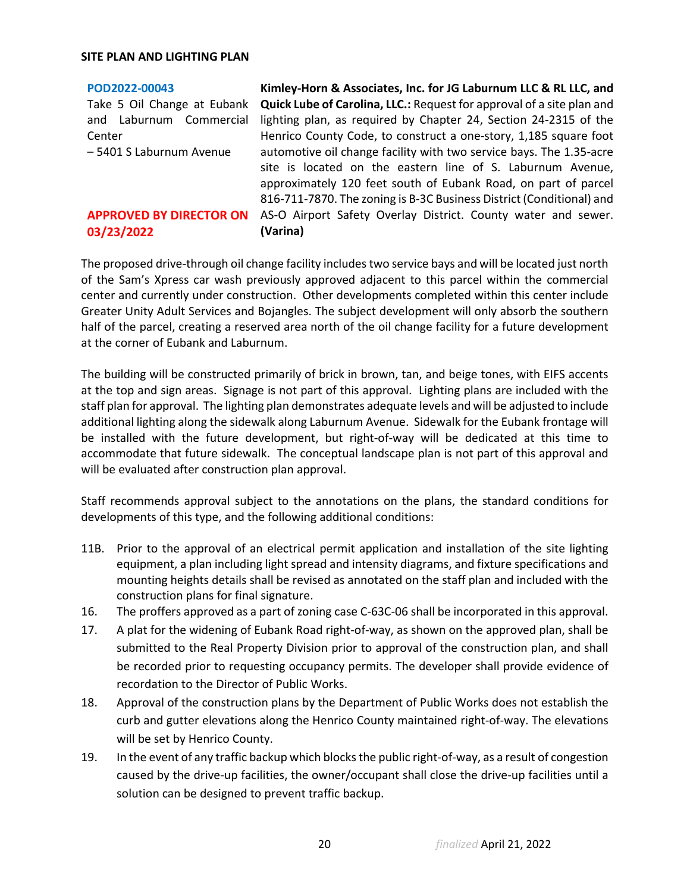## **[POD2022-00043](https://henrico.us/pdfs/planning/2022/mar22/pod/pod2022-00043.pdf)**

Take 5 Oil Change at Eubank and Laburnum Commercial **Center** – 5401 S Laburnum Avenue

**APPROVED BY DIRECTOR ON 03/23/2022**

**Kimley-Horn & Associates, Inc. for JG Laburnum LLC & RL LLC, and Quick Lube of Carolina, LLC.:** Request for approval of a site plan and lighting plan, as required by Chapter 24, Section 24-2315 of the Henrico County Code, to construct a one-story, 1,185 square foot automotive oil change facility with two service bays. The 1.35-acre site is located on the eastern line of S. Laburnum Avenue, approximately 120 feet south of Eubank Road, on part of parcel 816-711-7870. The zoning is B-3C Business District(Conditional) and AS-O Airport Safety Overlay District. County water and sewer. **(Varina)**

The proposed drive-through oil change facility includes two service bays and will be located just north of the Sam's Xpress car wash previously approved adjacent to this parcel within the commercial center and currently under construction. Other developments completed within this center include Greater Unity Adult Services and Bojangles. The subject development will only absorb the southern half of the parcel, creating a reserved area north of the oil change facility for a future development at the corner of Eubank and Laburnum.

The building will be constructed primarily of brick in brown, tan, and beige tones, with EIFS accents at the top and sign areas. Signage is not part of this approval. Lighting plans are included with the staff plan for approval. The lighting plan demonstrates adequate levels and will be adjusted to include additional lighting along the sidewalk along Laburnum Avenue. Sidewalk for the Eubank frontage will be installed with the future development, but right-of-way will be dedicated at this time to accommodate that future sidewalk. The conceptual landscape plan is not part of this approval and will be evaluated after construction plan approval.

Staff recommends approval subject to the annotations on the plans, the standard conditions for developments of this type, and the following additional conditions:

- 11B. Prior to the approval of an electrical permit application and installation of the site lighting equipment, a plan including light spread and intensity diagrams, and fixture specifications and mounting heights details shall be revised as annotated on the staff plan and included with the construction plans for final signature.
- 16. The proffers approved as a part of zoning case C-63C-06 shall be incorporated in this approval.
- 17. A plat for the widening of Eubank Road right-of-way, as shown on the approved plan, shall be submitted to the Real Property Division prior to approval of the construction plan, and shall be recorded prior to requesting occupancy permits. The developer shall provide evidence of recordation to the Director of Public Works.
- 18. Approval of the construction plans by the Department of Public Works does not establish the curb and gutter elevations along the Henrico County maintained right-of-way. The elevations will be set by Henrico County.
- 19. In the event of any traffic backup which blocks the public right-of-way, as a result of congestion caused by the drive-up facilities, the owner/occupant shall close the drive-up facilities until a solution can be designed to prevent traffic backup.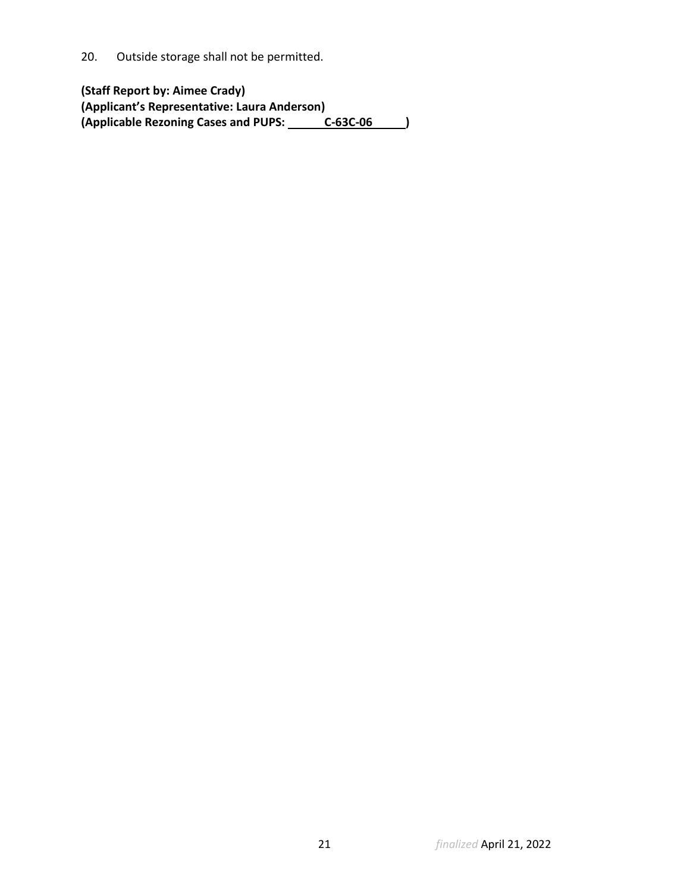20. Outside storage shall not be permitted.

**(Staff Report by: Aimee Crady) (Applicant's Representative: Laura Anderson)** (Applicable Rezoning Cases and PUPS: C-63C-06 )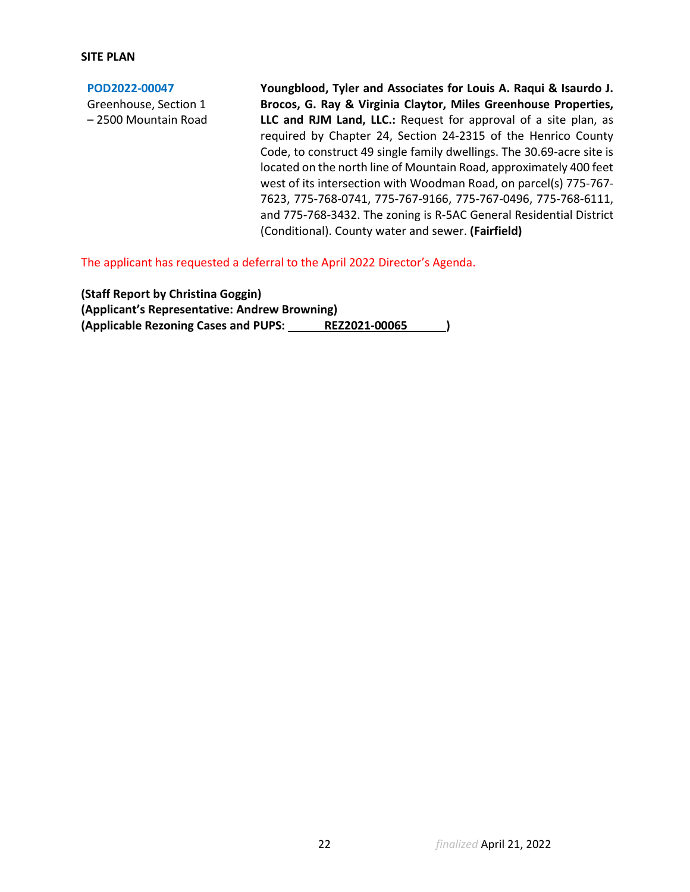## **SITE PLAN**

**[POD2022-00047](https://henrico.us/pdfs/planning/2022/mar22/pod/pod2022-00047.pdf)** Greenhouse, Section 1 – 2500 Mountain Road **Youngblood, Tyler and Associates for Louis A. Raqui & Isaurdo J. Brocos, G. Ray & Virginia Claytor, Miles Greenhouse Properties, LLC and RJM Land, LLC.:** Request for approval of a site plan, as required by Chapter 24, Section 24-2315 of the Henrico County Code, to construct 49 single family dwellings. The 30.69-acre site is located on the north line of Mountain Road, approximately 400 feet west of its intersection with Woodman Road, on parcel(s) 775-767- 7623, 775-768-0741, 775-767-9166, 775-767-0496, 775-768-6111, and 775-768-3432. The zoning is R-5AC General Residential District (Conditional). County water and sewer. **(Fairfield)**

The applicant has requested a deferral to the April 2022 Director's Agenda.

**(Staff Report by Christina Goggin) (Applicant's Representative: Andrew Browning) (Applicable Rezoning Cases and PUPS: REZ2021-00065 )**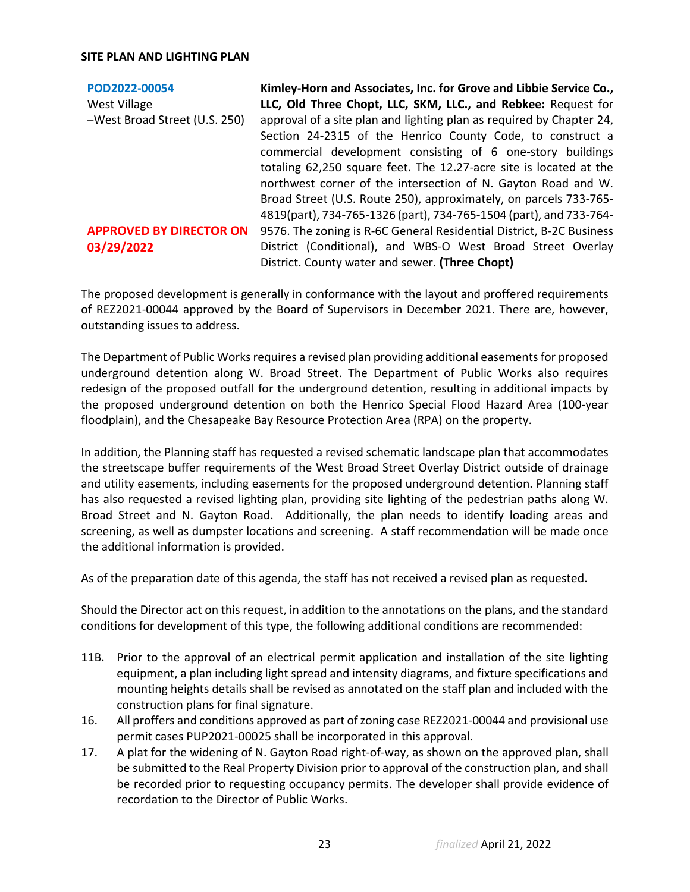| POD2022-00054                  | Kimley-Horn and Associates, Inc. for Grove and Libbie Service Co.,   |
|--------------------------------|----------------------------------------------------------------------|
| <b>West Village</b>            | LLC, Old Three Chopt, LLC, SKM, LLC., and Rebkee: Request for        |
| -West Broad Street (U.S. 250)  | approval of a site plan and lighting plan as required by Chapter 24, |
|                                | Section 24-2315 of the Henrico County Code, to construct a           |
|                                | commercial development consisting of 6 one-story buildings           |
|                                | totaling 62,250 square feet. The 12.27-acre site is located at the   |
|                                | northwest corner of the intersection of N. Gayton Road and W.        |
|                                | Broad Street (U.S. Route 250), approximately, on parcels 733-765-    |
|                                | 4819(part), 734-765-1326 (part), 734-765-1504 (part), and 733-764-   |
| <b>APPROVED BY DIRECTOR ON</b> | 9576. The zoning is R-6C General Residential District, B-2C Business |
| 03/29/2022                     | District (Conditional), and WBS-O West Broad Street Overlay          |
|                                | District. County water and sewer. (Three Chopt)                      |

The proposed development is generally in conformance with the layout and proffered requirements of REZ2021-00044 approved by the Board of Supervisors in December 2021. There are, however, outstanding issues to address.

The Department of Public Works requires a revised plan providing additional easements for proposed underground detention along W. Broad Street. The Department of Public Works also requires redesign of the proposed outfall for the underground detention, resulting in additional impacts by the proposed underground detention on both the Henrico Special Flood Hazard Area (100-year floodplain), and the Chesapeake Bay Resource Protection Area (RPA) on the property.

In addition, the Planning staff has requested a revised schematic landscape plan that accommodates the streetscape buffer requirements of the West Broad Street Overlay District outside of drainage and utility easements, including easements for the proposed underground detention. Planning staff has also requested a revised lighting plan, providing site lighting of the pedestrian paths along W. Broad Street and N. Gayton Road. Additionally, the plan needs to identify loading areas and screening, as well as dumpster locations and screening. A staff recommendation will be made once the additional information is provided.

As of the preparation date of this agenda, the staff has not received a revised plan as requested.

Should the Director act on this request, in addition to the annotations on the plans, and the standard conditions for development of this type, the following additional conditions are recommended:

- 11B. Prior to the approval of an electrical permit application and installation of the site lighting equipment, a plan including light spread and intensity diagrams, and fixture specifications and mounting heights details shall be revised as annotated on the staff plan and included with the construction plans for final signature.
- 16. All proffers and conditions approved as part of zoning case REZ2021-00044 and provisional use permit cases PUP2021-00025 shall be incorporated in this approval.
- 17. A plat for the widening of N. Gayton Road right-of-way, as shown on the approved plan, shall be submitted to the Real Property Division prior to approval of the construction plan, and shall be recorded prior to requesting occupancy permits. The developer shall provide evidence of recordation to the Director of Public Works.